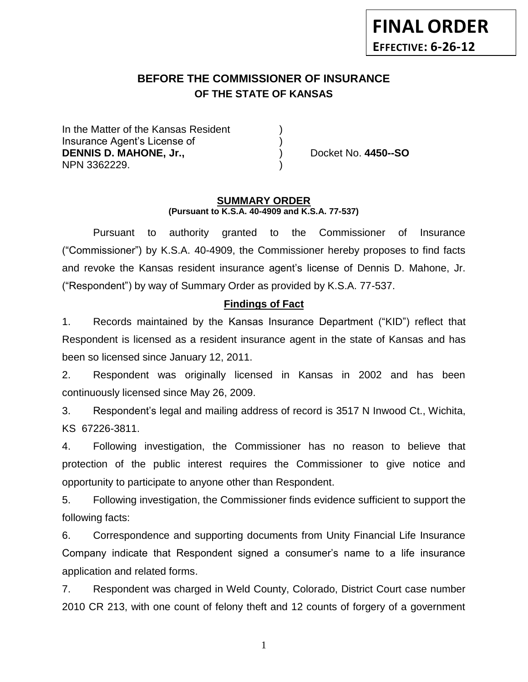# **BEFORE THE COMMISSIONER OF INSURANCE OF THE STATE OF KANSAS**

In the Matter of the Kansas Resident Insurance Agent's License of ) **DENNIS D. MAHONE, Jr.,** (2008) Docket No. 4450--SO NPN 3362229.

#### **SUMMARY ORDER (Pursuant to K.S.A. 40-4909 and K.S.A. 77-537)**

Pursuant to authority granted to the Commissioner of Insurance ("Commissioner") by K.S.A. 40-4909, the Commissioner hereby proposes to find facts and revoke the Kansas resident insurance agent's license of Dennis D. Mahone, Jr. ("Respondent") by way of Summary Order as provided by K.S.A. 77-537.

## **Findings of Fact**

1. Records maintained by the Kansas Insurance Department ("KID") reflect that Respondent is licensed as a resident insurance agent in the state of Kansas and has been so licensed since January 12, 2011.

2. Respondent was originally licensed in Kansas in 2002 and has been continuously licensed since May 26, 2009.

3. Respondent's legal and mailing address of record is 3517 N Inwood Ct., Wichita, KS 67226-3811.

4. Following investigation, the Commissioner has no reason to believe that protection of the public interest requires the Commissioner to give notice and opportunity to participate to anyone other than Respondent.

5. Following investigation, the Commissioner finds evidence sufficient to support the following facts:

6. Correspondence and supporting documents from Unity Financial Life Insurance Company indicate that Respondent signed a consumer's name to a life insurance application and related forms.

7. Respondent was charged in Weld County, Colorado, District Court case number 2010 CR 213, with one count of felony theft and 12 counts of forgery of a government

1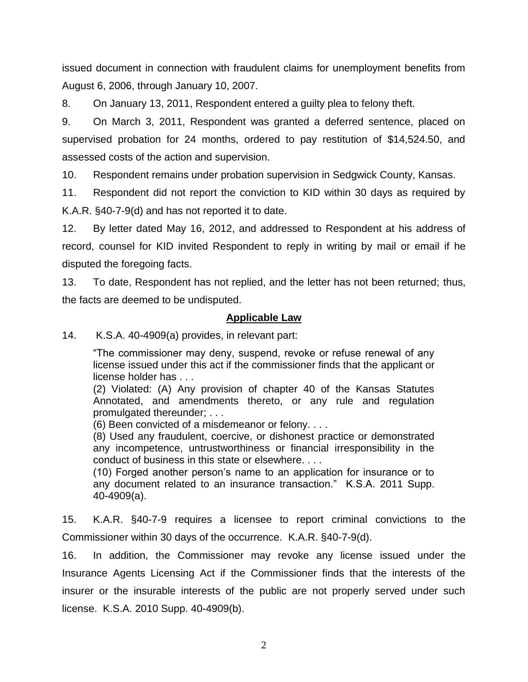issued document in connection with fraudulent claims for unemployment benefits from August 6, 2006, through January 10, 2007.

8. On January 13, 2011, Respondent entered a guilty plea to felony theft.

9. On March 3, 2011, Respondent was granted a deferred sentence, placed on supervised probation for 24 months, ordered to pay restitution of \$14,524.50, and assessed costs of the action and supervision.

10. Respondent remains under probation supervision in Sedgwick County, Kansas.

11. Respondent did not report the conviction to KID within 30 days as required by K.A.R. §40-7-9(d) and has not reported it to date.

12. By letter dated May 16, 2012, and addressed to Respondent at his address of record, counsel for KID invited Respondent to reply in writing by mail or email if he disputed the foregoing facts.

13. To date, Respondent has not replied, and the letter has not been returned; thus, the facts are deemed to be undisputed.

### **Applicable Law**

14. K.S.A. 40-4909(a) provides, in relevant part:

"The commissioner may deny, suspend, revoke or refuse renewal of any license issued under this act if the commissioner finds that the applicant or license holder has . . .

(2) Violated: (A) Any provision of chapter 40 of the Kansas Statutes Annotated, and amendments thereto, or any rule and regulation promulgated thereunder; . . .

(6) Been convicted of a misdemeanor or felony. . . .

(8) Used any fraudulent, coercive, or dishonest practice or demonstrated any incompetence, untrustworthiness or financial irresponsibility in the conduct of business in this state or elsewhere. . . .

(10) Forged another person's name to an application for insurance or to any document related to an insurance transaction." K.S.A. 2011 Supp. 40-4909(a).

15. K.A.R. §40-7-9 requires a licensee to report criminal convictions to the Commissioner within 30 days of the occurrence. K.A.R. §40-7-9(d).

16. In addition, the Commissioner may revoke any license issued under the Insurance Agents Licensing Act if the Commissioner finds that the interests of the insurer or the insurable interests of the public are not properly served under such license. K.S.A. 2010 Supp. 40-4909(b).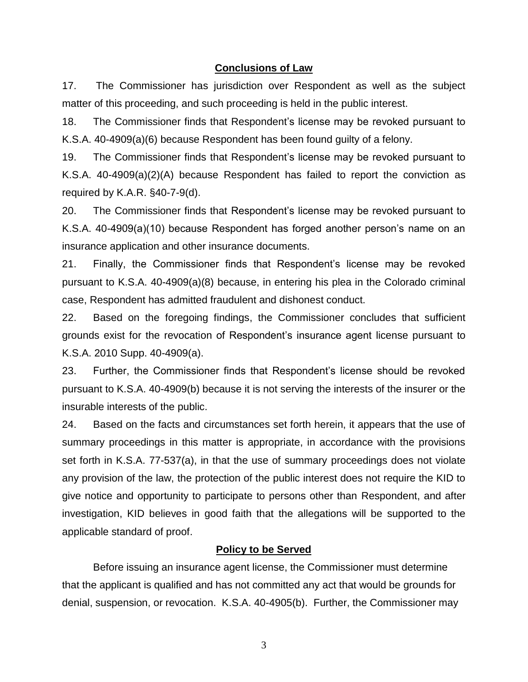### **Conclusions of Law**

17. The Commissioner has jurisdiction over Respondent as well as the subject matter of this proceeding, and such proceeding is held in the public interest.

18. The Commissioner finds that Respondent's license may be revoked pursuant to K.S.A. 40-4909(a)(6) because Respondent has been found guilty of a felony.

19. The Commissioner finds that Respondent's license may be revoked pursuant to K.S.A. 40-4909(a)(2)(A) because Respondent has failed to report the conviction as required by K.A.R. §40-7-9(d).

20. The Commissioner finds that Respondent's license may be revoked pursuant to K.S.A. 40-4909(a)(10) because Respondent has forged another person's name on an insurance application and other insurance documents.

21. Finally, the Commissioner finds that Respondent's license may be revoked pursuant to K.S.A. 40-4909(a)(8) because, in entering his plea in the Colorado criminal case, Respondent has admitted fraudulent and dishonest conduct.

22. Based on the foregoing findings, the Commissioner concludes that sufficient grounds exist for the revocation of Respondent's insurance agent license pursuant to K.S.A. 2010 Supp. 40-4909(a).

23. Further, the Commissioner finds that Respondent's license should be revoked pursuant to K.S.A. 40-4909(b) because it is not serving the interests of the insurer or the insurable interests of the public.

24. Based on the facts and circumstances set forth herein, it appears that the use of summary proceedings in this matter is appropriate, in accordance with the provisions set forth in K.S.A. 77-537(a), in that the use of summary proceedings does not violate any provision of the law, the protection of the public interest does not require the KID to give notice and opportunity to participate to persons other than Respondent, and after investigation, KID believes in good faith that the allegations will be supported to the applicable standard of proof.

### **Policy to be Served**

Before issuing an insurance agent license, the Commissioner must determine that the applicant is qualified and has not committed any act that would be grounds for denial, suspension, or revocation. K.S.A. 40-4905(b). Further, the Commissioner may

3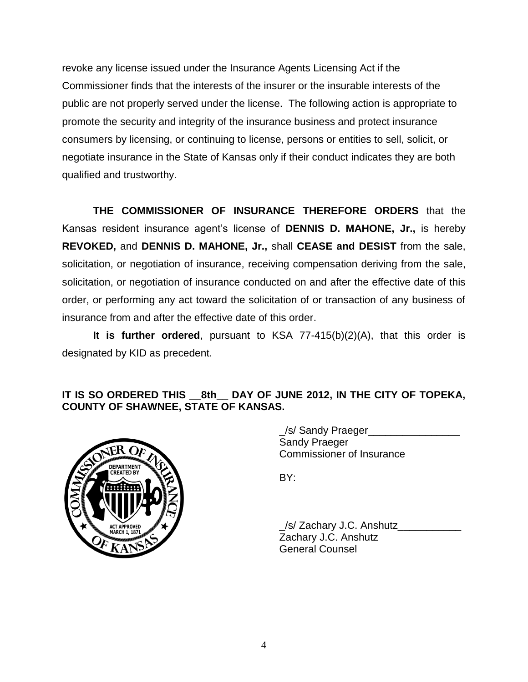revoke any license issued under the Insurance Agents Licensing Act if the Commissioner finds that the interests of the insurer or the insurable interests of the public are not properly served under the license. The following action is appropriate to promote the security and integrity of the insurance business and protect insurance consumers by licensing, or continuing to license, persons or entities to sell, solicit, or negotiate insurance in the State of Kansas only if their conduct indicates they are both qualified and trustworthy.

**THE COMMISSIONER OF INSURANCE THEREFORE ORDERS** that the Kansas resident insurance agent's license of **DENNIS D. MAHONE, Jr.,** is hereby **REVOKED,** and **DENNIS D. MAHONE, Jr.,** shall **CEASE and DESIST** from the sale, solicitation, or negotiation of insurance, receiving compensation deriving from the sale, solicitation, or negotiation of insurance conducted on and after the effective date of this order, or performing any act toward the solicitation of or transaction of any business of insurance from and after the effective date of this order.

**It is further ordered**, pursuant to KSA 77-415(b)(2)(A), that this order is designated by KID as precedent.

## **IT IS SO ORDERED THIS \_\_8th\_\_ DAY OF JUNE 2012, IN THE CITY OF TOPEKA, COUNTY OF SHAWNEE, STATE OF KANSAS.**



\_/s/ Sandy Praeger\_\_\_\_\_\_\_\_\_\_\_\_\_\_\_\_ Sandy Praeger Commissioner of Insurance

BY:

\_/s/ Zachary J.C. Anshutz\_\_\_\_\_\_\_\_\_\_\_ Zachary J.C. Anshutz General Counsel